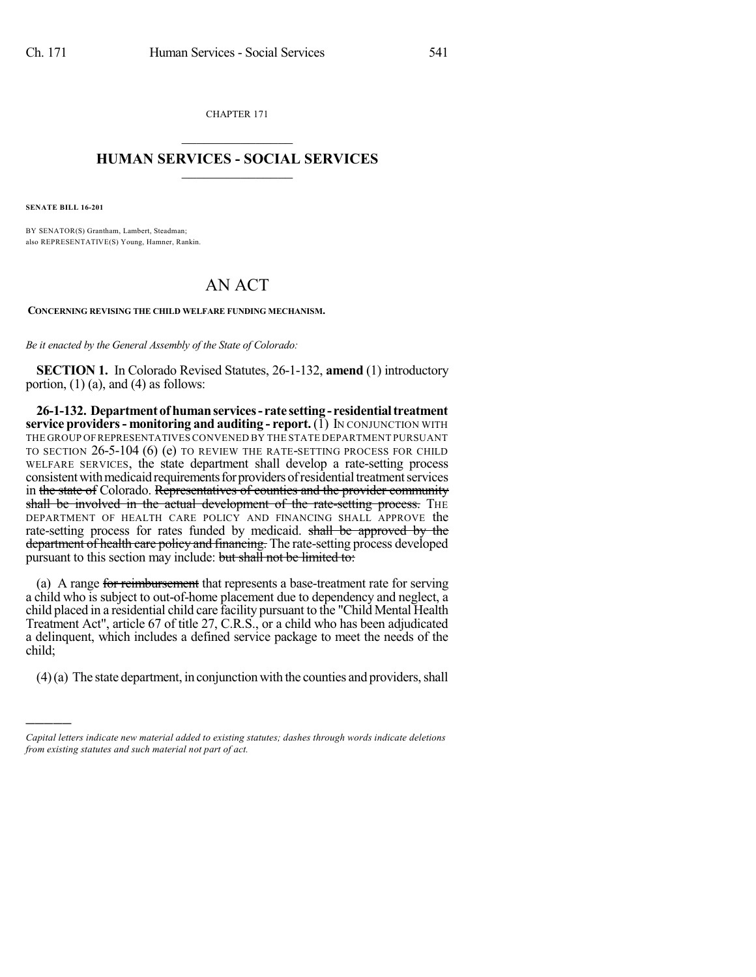CHAPTER 171  $\overline{\phantom{a}}$  . The set of the set of the set of the set of the set of the set of the set of the set of the set of the set of the set of the set of the set of the set of the set of the set of the set of the set of the set o

## **HUMAN SERVICES - SOCIAL SERVICES**  $\frac{1}{2}$  ,  $\frac{1}{2}$  ,  $\frac{1}{2}$  ,  $\frac{1}{2}$  ,  $\frac{1}{2}$  ,  $\frac{1}{2}$  ,  $\frac{1}{2}$

**SENATE BILL 16-201**

)))))

BY SENATOR(S) Grantham, Lambert, Steadman; also REPRESENTATIVE(S) Young, Hamner, Rankin.

## AN ACT

**CONCERNING REVISING THE CHILD WELFARE FUNDING MECHANISM.**

*Be it enacted by the General Assembly of the State of Colorado:*

**SECTION 1.** In Colorado Revised Statutes, 26-1-132, **amend** (1) introductory portion,  $(1)$   $(a)$ , and  $(4)$  as follows:

**26-1-132. Department ofhumanservices- rate setting- residentialtreatment service providers- monitoring and auditing - report.**(1) IN CONJUNCTION WITH THE GROUP OFREPRESENTATIVES CONVENED BY THE STATE DEPARTMENT PURSUANT TO SECTION 26-5-104 (6) (e) TO REVIEW THE RATE-SETTING PROCESS FOR CHILD WELFARE SERVICES, the state department shall develop a rate-setting process consistent with medicaid requirements for providers of residential treatment services in the state of Colorado. Representatives of counties and the provider community shall be involved in the actual development of the rate-setting process. THE DEPARTMENT OF HEALTH CARE POLICY AND FINANCING SHALL APPROVE the rate-setting process for rates funded by medicaid. shall be approved by the department of health care policy and financing. The rate-setting process developed pursuant to this section may include: but shall not be limited to:

(a) A range for reimbursement that represents a base-treatment rate for serving a child who is subject to out-of-home placement due to dependency and neglect, a child placed in a residential child care facility pursuant to the "Child Mental Health Treatment Act", article 67 of title 27, C.R.S., or a child who has been adjudicated a delinquent, which includes a defined service package to meet the needs of the child;

 $(4)$ (a) The state department, in conjunction with the counties and providers, shall

*Capital letters indicate new material added to existing statutes; dashes through words indicate deletions from existing statutes and such material not part of act.*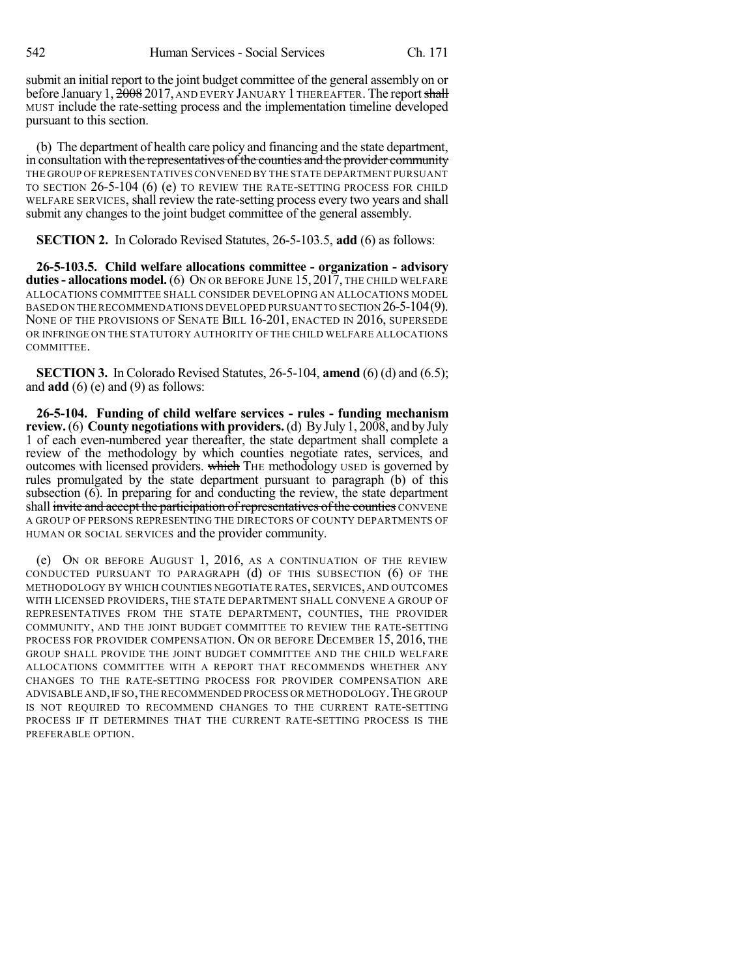submit an initial report to the joint budget committee of the general assembly on or before January 1,  $\frac{2008}{2017}$ , AND EVERY JANUARY 1 THEREAFTER. The report shall MUST include the rate-setting process and the implementation timeline developed pursuant to this section.

(b) The department of health care policy and financing and the state department, in consultation with the representatives of the counties and the provider community THE GROUP OF REPRESENTATIVES CONVENED BY THE STATE DEPARTMENT PURSUANT TO SECTION 26-5-104 (6) (e) TO REVIEW THE RATE-SETTING PROCESS FOR CHILD WELFARE SERVICES, shall review the rate-setting process every two years and shall submit any changes to the joint budget committee of the general assembly.

**SECTION 2.** In Colorado Revised Statutes, 26-5-103.5, **add** (6) as follows:

**26-5-103.5. Child welfare allocations committee - organization - advisory duties- allocations model.** (6) ON OR BEFORE JUNE 15, 2017, THE CHILD WELFARE ALLOCATIONS COMMITTEE SHALL CONSIDER DEVELOPING AN ALLOCATIONS MODEL BASED ON THE RECOMMENDATIONS DEVELOPED PURSUANT TO SECTION 26-5-104(9). NONE OF THE PROVISIONS OF SENATE BILL 16-201, ENACTED IN 2016, SUPERSEDE OR INFRINGE ON THE STATUTORY AUTHORITY OF THE CHILD WELFARE ALLOCATIONS COMMITTEE.

**SECTION 3.** In Colorado Revised Statutes, 26-5-104, **amend** (6) (d) and (6.5); and  $\text{add}(6)$  (e) and (9) as follows:

**26-5-104. Funding of child welfare services - rules - funding mechanism review.** (6) **County negotiations with providers.** (d) By July 1, 2008, and by July 1 of each even-numbered year thereafter, the state department shall complete a review of the methodology by which counties negotiate rates, services, and outcomes with licensed providers. which THE methodology USED is governed by rules promulgated by the state department pursuant to paragraph (b) of this subsection (6). In preparing for and conducting the review, the state department shall invite and accept the participation of representatives of the counties CONVENE A GROUP OF PERSONS REPRESENTING THE DIRECTORS OF COUNTY DEPARTMENTS OF HUMAN OR SOCIAL SERVICES and the provider community.

(e) ON OR BEFORE AUGUST 1, 2016, AS A CONTINUATION OF THE REVIEW CONDUCTED PURSUANT TO PARAGRAPH (d) OF THIS SUBSECTION (6) OF THE METHODOLOGY BY WHICH COUNTIES NEGOTIATE RATES, SERVICES, AND OUTCOMES WITH LICENSED PROVIDERS, THE STATE DEPARTMENT SHALL CONVENE A GROUP OF REPRESENTATIVES FROM THE STATE DEPARTMENT, COUNTIES, THE PROVIDER COMMUNITY, AND THE JOINT BUDGET COMMITTEE TO REVIEW THE RATE-SETTING PROCESS FOR PROVIDER COMPENSATION. ON OR BEFORE DECEMBER 15, 2016, THE GROUP SHALL PROVIDE THE JOINT BUDGET COMMITTEE AND THE CHILD WELFARE ALLOCATIONS COMMITTEE WITH A REPORT THAT RECOMMENDS WHETHER ANY CHANGES TO THE RATE-SETTING PROCESS FOR PROVIDER COMPENSATION ARE ADVISABLE AND,IF SO,THE RECOMMENDED PROCESS OR METHODOLOGY.THE GROUP IS NOT REQUIRED TO RECOMMEND CHANGES TO THE CURRENT RATE-SETTING PROCESS IF IT DETERMINES THAT THE CURRENT RATE-SETTING PROCESS IS THE PREFERABLE OPTION.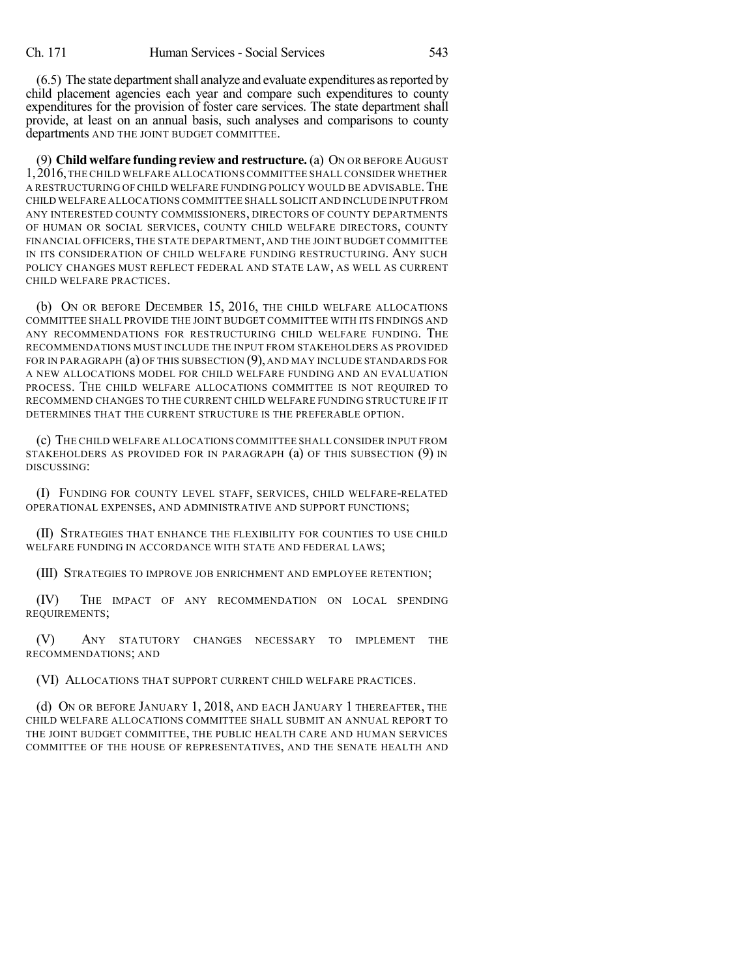$(6.5)$  The state department shall analyze and evaluate expenditures as reported by child placement agencies each year and compare such expenditures to county expenditures for the provision of foster care services. The state department shall provide, at least on an annual basis, such analyses and comparisons to county departments AND THE JOINT BUDGET COMMITTEE.

(9) **Childwelfare funding review and restructure.**(a) ON OR BEFORE AUGUST 1,2016,THE CHILD WELFARE ALLOCATIONS COMMITTEE SHALL CONSIDER WHETHER A RESTRUCTURING OF CHILD WELFARE FUNDING POLICY WOULD BE ADVISABLE.THE CHILD WELFARE ALLOCATIONS COMMITTEE SHALL SOLICIT AND INCLUDE INPUT FROM ANY INTERESTED COUNTY COMMISSIONERS, DIRECTORS OF COUNTY DEPARTMENTS OF HUMAN OR SOCIAL SERVICES, COUNTY CHILD WELFARE DIRECTORS, COUNTY FINANCIAL OFFICERS, THE STATE DEPARTMENT, AND THE JOINT BUDGET COMMITTEE IN ITS CONSIDERATION OF CHILD WELFARE FUNDING RESTRUCTURING. ANY SUCH POLICY CHANGES MUST REFLECT FEDERAL AND STATE LAW, AS WELL AS CURRENT CHILD WELFARE PRACTICES.

(b) ON OR BEFORE DECEMBER 15, 2016, THE CHILD WELFARE ALLOCATIONS COMMITTEE SHALL PROVIDE THE JOINT BUDGET COMMITTEE WITH ITS FINDINGS AND ANY RECOMMENDATIONS FOR RESTRUCTURING CHILD WELFARE FUNDING. THE RECOMMENDATIONS MUST INCLUDE THE INPUT FROM STAKEHOLDERS AS PROVIDED FOR IN PARAGRAPH (a) OF THIS SUBSECTION (9), AND MAY INCLUDE STANDARDS FOR A NEW ALLOCATIONS MODEL FOR CHILD WELFARE FUNDING AND AN EVALUATION PROCESS. THE CHILD WELFARE ALLOCATIONS COMMITTEE IS NOT REQUIRED TO RECOMMEND CHANGES TO THE CURRENT CHILD WELFARE FUNDING STRUCTURE IF IT DETERMINES THAT THE CURRENT STRUCTURE IS THE PREFERABLE OPTION.

(c) THE CHILD WELFARE ALLOCATIONS COMMITTEE SHALL CONSIDER INPUT FROM STAKEHOLDERS AS PROVIDED FOR IN PARAGRAPH (a) OF THIS SUBSECTION (9) IN DISCUSSING:

(I) FUNDING FOR COUNTY LEVEL STAFF, SERVICES, CHILD WELFARE-RELATED OPERATIONAL EXPENSES, AND ADMINISTRATIVE AND SUPPORT FUNCTIONS;

(II) STRATEGIES THAT ENHANCE THE FLEXIBILITY FOR COUNTIES TO USE CHILD WELFARE FUNDING IN ACCORDANCE WITH STATE AND FEDERAL LAWS;

(III) STRATEGIES TO IMPROVE JOB ENRICHMENT AND EMPLOYEE RETENTION;

(IV) THE IMPACT OF ANY RECOMMENDATION ON LOCAL SPENDING REQUIREMENTS;

(V) ANY STATUTORY CHANGES NECESSARY TO IMPLEMENT THE RECOMMENDATIONS; AND

(VI) ALLOCATIONS THAT SUPPORT CURRENT CHILD WELFARE PRACTICES.

(d) ON OR BEFORE JANUARY 1, 2018, AND EACH JANUARY 1 THEREAFTER, THE CHILD WELFARE ALLOCATIONS COMMITTEE SHALL SUBMIT AN ANNUAL REPORT TO THE JOINT BUDGET COMMITTEE, THE PUBLIC HEALTH CARE AND HUMAN SERVICES COMMITTEE OF THE HOUSE OF REPRESENTATIVES, AND THE SENATE HEALTH AND